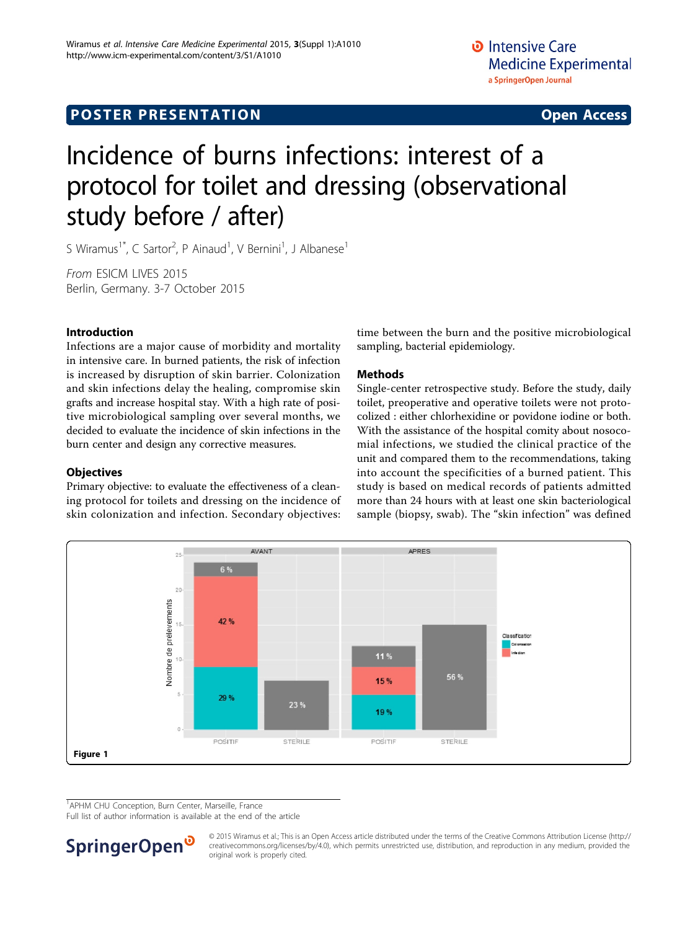## <span id="page-0-0"></span>**POSTER PRESENTATION CONSUMING THE SERVICE SERVICE SERVICES**

# Incidence of burns infections: interest of a protocol for toilet and dressing (observational study before / after)

S Wiramus<sup>1\*</sup>, C Sartor<sup>2</sup>, P Ainaud<sup>1</sup>, V Bernini<sup>1</sup>, J Albanese<sup>1</sup>

From ESICM LIVES 2015 Berlin, Germany. 3-7 October 2015

#### Introduction

Infections are a major cause of morbidity and mortality in intensive care. In burned patients, the risk of infection is increased by disruption of skin barrier. Colonization and skin infections delay the healing, compromise skin grafts and increase hospital stay. With a high rate of positive microbiological sampling over several months, we decided to evaluate the incidence of skin infections in the burn center and design any corrective measures.

#### **Objectives**

Primary objective: to evaluate the effectiveness of a cleaning protocol for toilets and dressing on the incidence of skin colonization and infection. Secondary objectives:

time between the burn and the positive microbiological sampling, bacterial epidemiology.

#### Methods

Single-center retrospective study. Before the study, daily toilet, preoperative and operative toilets were not protocolized : either chlorhexidine or povidone iodine or both. With the assistance of the hospital comity about nosocomial infections, we studied the clinical practice of the unit and compared them to the recommendations, taking into account the specificities of a burned patient. This study is based on medical records of patients admitted more than 24 hours with at least one skin bacteriological sample (biopsy, swab). The "skin infection" was defined



<sup>1</sup> APHM CHU Conception, Burn Center, Marseille, France

Full list of author information is available at the end of the article



© 2015 Wiramus et al.; This is an Open Access article distributed under the terms of the Creative Commons Attribution License [\(http://](http://creativecommons.org/licenses/by/4.0) [creativecommons.org/licenses/by/4.0](http://creativecommons.org/licenses/by/4.0)), which permits unrestricted use, distribution, and reproduction in any medium, provided the original work is properly cited.